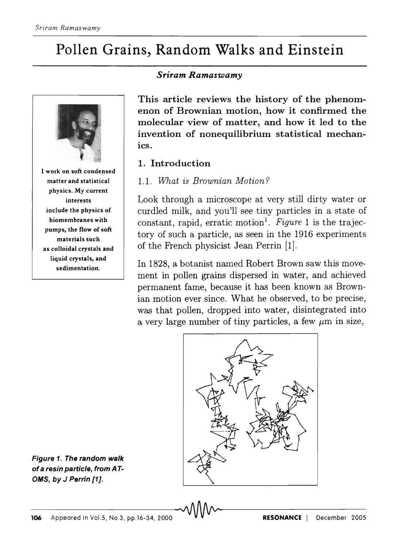# Pollen Grains, Random Walks and Einstein





I work on soft condensed matter and statistical physics. My current interests include the physics of biomembranes with pumps, the flow of soft materials such as colloidal crystals and liquid crystals, and sedimentation.

This article reviews the history of the phenomenon of Brownian motion, how it confirmed the molecular view of matter, and how it led to the invention of nonequilibrium statistical mechanics.

# 1. Introduction

1.1. *What is Brownian Motion?* 

Look through a microscope at very still dirty water or curdled milk, and you'll see tiny particles in a state of constant, rapid, erratic motion<sup>1</sup>. *Figure* 1 is the trajectory of such a particle, as seen in the 1916 experiments of the French physicist Jean Perrin [1].

In 1828, a botanist named Robert Brown saw this movement in pollen grains dispersed in water, and achieved permanent fame, because it has been known as Brownian motion ever since. What he observed, to be precise, was that pollen, dropped into water, disintegrated into a very large number of tiny particles, a few  $\mu$ m in size,



Figure 1. The random walk of a resin particle, from AT-OMS, by J Perrin [1].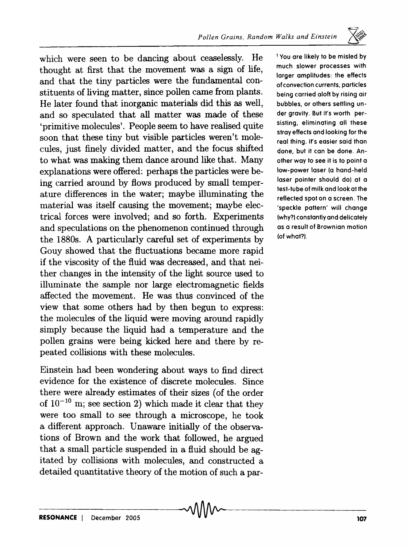

which were seen to be dancing about ceaselessly. He thought at first that the movement was a sign of life, and that the tiny particles were the fundamental constituents of living matter, since pollen came from plants. He later found that inorganic materials did this as well, and so speculated that all matter was made of these 'primitive molecules'. People seem to have realised quite soon that these tiny but visible particles weren't molecules, just finely divided matter, and the focus shifted to what was making them dance around like that. Many explanations were offered: perhaps the particles were being carried around by flows produced by small temperature differences in the water; maybe illuminating the material was itself causing the movement; maybe electrical forces were involved; and so forth. Experiments and speculations on the phenomenon continued through the 1880s. A particularly careful set of experiments by Gouy showed that the fluctuations became more rapid if the viscosity of the fluid was decreased, and that neither changes in the intensity of the light source used to illuminate the sample nor large electromagnetic fields affected the movement. He was thus convinced of the view that some others had by then begun to express: the molecules of the liquid were moving around rapidly simply because the liquid had a temperature and the pollen grains were being kicked here and there by repeated collisions with these molecules.

Einstein had been wondering about ways to find direct evidence for the existence of discrete molecules. Since there were already estimates of their sizes (of the order of  $10^{-10}$  m; see section 2) which made it clear that they were too small to see through a microscope, he took a different approach. Unaware initially of the observations of Brown and the work that followed, he argued that a small particle suspended in a fluid should be agitated by collisions with molecules, and constructed a detailed quantitative theory of the motion of such a par<sup>1</sup> You are likely to be misled by much slower processes with larger amplitudes: the effects of convection currents, particles being carried aloft by rising air bubbles, or others settling under gravity. But it's worth persisting, eliminating all these stray effects and looking for the real thing. It's easier said than done, but it can be done. Another way to see it is to point a low-power laser (a hand-held laser pointer should do) at a test-tube of milk and look at the reflected spot on a screen. The 'speckle pattern' will change (why?) constantly and delicately as a result of Brownian motion (of what?).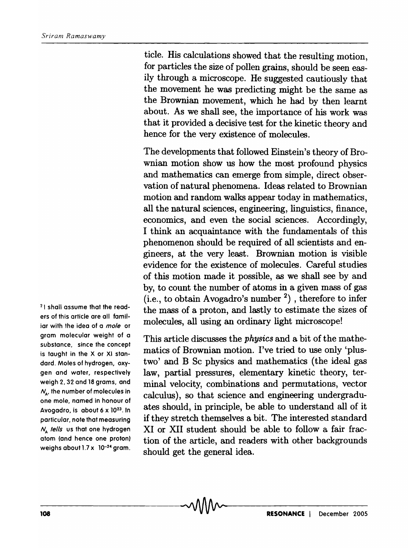ticle. His calculations showed that the resulting motion, for particles the size of pollen grains, should be seen easily through a microscope. He suggested cautiously that the movement he was predicting might be the same as the Brownian movement, which he had by then learnt about. As we shall see, the importance of his work was that it provided a decisive test for the kinetic theory and hence for the very existence of molecules.

The developments that followed Einstein's theory of Brownian motion show us how the most profound physics and mathematics can emerge from simple, direct observation of natural phenomena. Ideas related to Brownian motion and random walks appear today in mathematics, all the natural sciences, engineering, linguistics, finance, economics, and even the social sciences. Accordingly, I think an acquaintance with the fundamentals of this phenomenon should be required of all scientists and engineers, at the very least. Brownian motion is visible evidence for the existence of molecules. Careful studies of this motion made it possible, as we shall see by and by, to count the number of atoms in a given mass of gas (i.e., to obtain Avogadro's number  $2$ ), therefore to infer the mass of a proton, and lastly to estimate the sizes of molecules, all using an ordinary light microscope!

This article discusses the *physics* and a bit of the mathematics of Brownian motion. I've tried to use only 'plustwo' and B Sc physics and mathematics (the ideal gas law, partial pressures, elementary kinetic theory, terminal velocity, combinations and permutations, vector calculus), so that science and engineering undergraduates should, in principle, be able to understand all of it if they stretch themselves a bit. The interested standard XI or XII student should be able to follow a fair fraction of the article, and readers with other backgrounds should get the general idea.

21 shall assume that the readers of this article are all familiar with the idea of a *mole* or gram molecular weight of a substance. since the concept is taught in the X or XI standard. Moles of hydrogen, oxygen and water, respectively weigh 2.32 and 18 grams. and  $N_{\rm A}$ , the number of molecules in one mole, named in honour of Avogadro, is about  $6 \times 10^{23}$ . In particular. note that measuring NA *tells* us that one hydrogen atom (and hence one proton) weighs about 1.7 x 10-24 gram.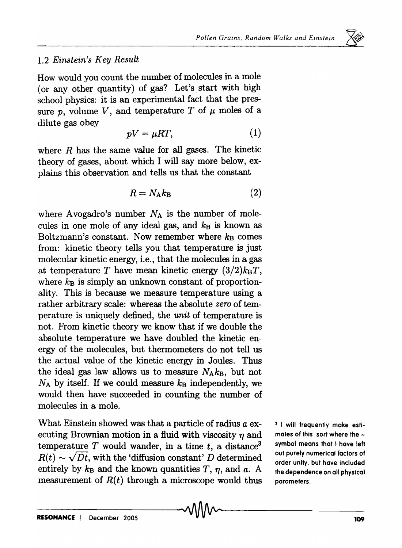## 1.2 *Einstein's Key Result*

How would you count the number of molecules in a mole (or any other quantity) of gas? Let's start with high school physics: it is an experimental fact that the pressure p, volume V, and temperature T of  $\mu$  moles of a dilute gas obey

$$
pV = \mu RT,\tag{1}
$$

where *R* has the same value for all gases. The kinetic theory of gases, about which I will say more below, explains this observation and tells us that the constant

$$
R = N_{\rm A} k_{\rm B} \tag{2}
$$

where Avogadro's number  $N_A$  is the number of molecules in one mole of any ideal gas, and  $k_B$  is known as Boltzmann's constant. Now remember where  $k_B$  comes from: kinetic theory tells you that temperature is just molecular kinetic energy, i.e., that the molecules in a gas at temperature *T* have mean kinetic energy  $(3/2)k_BT$ , where  $k_B$  is simply an unknown constant of proportionality. This is because we measure temperature using a rather arbitrary scale: whereas the absolute *zero* of temperature is uniquely defined, the *unit* of temperature is not. From kinetic theory we know that if we double the absolute temperature we have doubled the kinetic energy of the molecules, but thermometers do not tell us the actual value of the kinetic energy in Joules. Thus the ideal gas law allows us to measure *NAks,* but not  $N_A$  by itself. If we could measure  $k_B$  independently, we would then have succeeded in counting the number of molecules in a mole.

What Einstein showed was that a particle of radius *a* executing Brownian motion in a fluid with viscosity  $\eta$  and temperature T would wander, in a time  $t$ , a distance<sup>3</sup>  $R(t) \sim \sqrt{Dt}$ , with the 'diffusion constant' *D* determined entirely by  $k_B$  and the known quantities  $T$ ,  $\eta$ , and  $\alpha$ . A measurement of  $R(t)$  through a microscope would thus 3 I will frequently make estimates of this sort where the  $\sim$ symbol means that I have left out purely numerical factors of order unity, but have included the dependence on all physical parameters.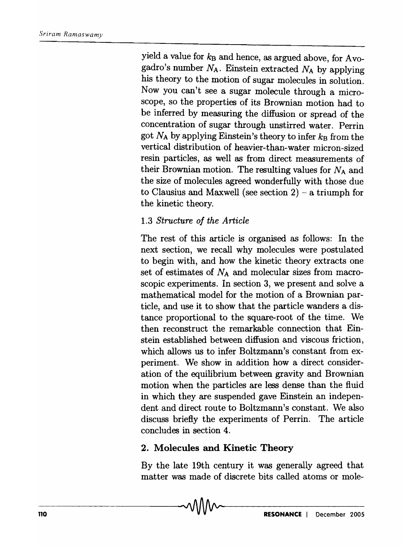yield a value for  $k_B$  and hence, as argued above, for Avogadro's number *NA.* Einstein extracted *NA* by applying his theory to the motion of sugar molecules in solution. Now you can't see a sugar molecule through a microscope, so the properties of its Brownian motion had to be inferred by measuring the diffusion or spread of the concentration of sugar through unstirred water. Perrin got  $N_A$  by applying Einstein's theory to infer  $k_B$  from the vertical distribution of heavier-than-water micron-sized resin particles, as well as from direct measurements of their Brownian motion. The resulting values for  $N_A$  and the size of molecules agreed wonderfully with those due to Clausius and Maxwell (see section  $2$ ) – a triumph for the kinetic theory.

## *1.3 Structure of the Article*

The rest of this article is organised as follows: In the next section, we recall why molecules were postulated to begin with, and how the kinetic theory extracts one set of estimates of  $N_A$  and molecular sizes from macroscopic experiments. In section 3, we present and solve a mathematical model for the motion of a Brownian particle, and use it to show that the particle wanders a distance proportional to the square-root of the time. We then reconstruct the remarkable connection that Einstein established between diffusion and viscous friction, which allows us to infer Boltzmann's constant from experiment. We show in addition how a direct consideration of the equilibrium between gravity and Brownian motion when the particles are less dense than the fluid in which they are suspended gave Einstein an independent and direct route to Boltzmann's constant. We also discuss briefly the experiments of Perrin. The article concludes in section 4.

#### 2. Molecules and Kinetic Theory

By the late 19th century it was generally agreed that matter was made of discrete bits called atoms or mole-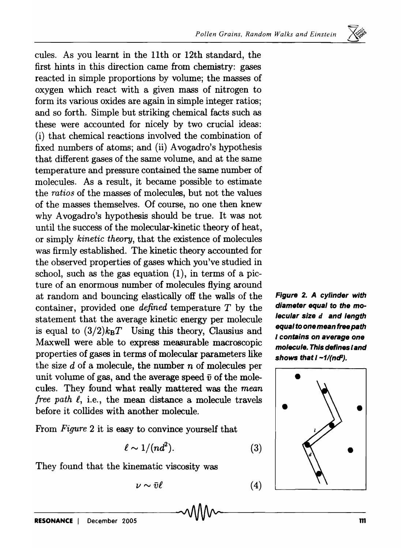cules. As you learnt in the 11th or 12th standard, the first hints in this direction came from chemistry: gases reacted in simple proportions by volume; the masses of oxygen which react with a given *mass* of nitrogen to form its various oxides are again in simple integer ratios; and so forth. Simple but striking chemical facts such as these were accounted for nicely by two crucial ideas: (i) that chemical reactions involved the combination of fixed numbers of atoms; and (ii) Avogadro's hypothesis that different gases of the same volume, and at the same temperature and pressure contained the same number of molecules. As a result, it became possible to estimate the *ratios* of the masses of molecules, but not the values of the masses themselves. Of course, no one then knew why Avogadro's hypothesis should be true. It was not until the success of the molecular-kinetic theory of heat, or simply *kinetic theory,* that the existence of molecules was firmly established. The kinetic theory accounted for the observed properties of gases which you've studied in school, such as the gas equation  $(1)$ , in terms of a picture of an enormous number of molecules flying around at random and bouncing elastically off the walls of the container, provided one *defined* temperature *T* by the statement that the average kinetic energy per molecule is equal to  $(3/2)k_BT$  Using this theory, Clausius and Maxwell were able to express measurable macroscopic properties of gases in terms of molecular parameters like the size  $d$  of a molecule, the number  $n$  of molecules per unit volume of gas, and the average speed  $\bar{v}$  of the molecules. They found what really mattered was the *mean free path l*, i.e., the mean distance a molecule travels before it collides with another molecule.

From *Figure* 2 it is easy to convince yourself that

$$
\ell \sim 1/(nd^2). \tag{3}
$$

They found that the kinematic viscosity was

$$
\nu \sim \bar{v}\ell \tag{4}
$$

Figure 2. A cylinder with diameter equal to the molecular size d and length equal to one mean free path I contains on average one molecule. This defines I and shows that  $l - 1/(nd^2)$ .

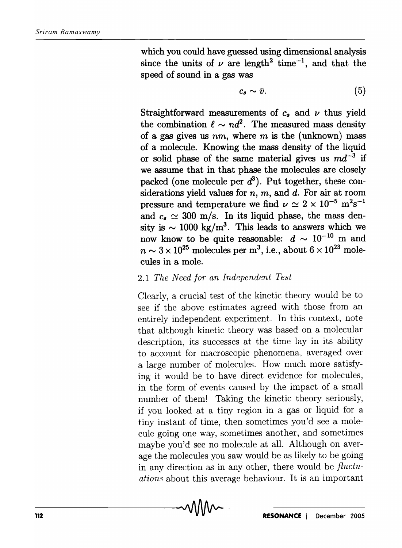which you could have guessed using dimensional analysis since the units of  $\nu$  are length<sup>2</sup> time<sup>-1</sup>, and that the speed of sound in a gas was

$$
c_s \sim \bar{v}.\tag{5}
$$

Straightforward measurements of  $c_s$  and  $\nu$  thus yield the combination  $\ell \sim nd^2$ . The measured mass density of a gas gives us  $nm$ , where m is the (unknown) mass of a molecule. Knowing the mass density of the liquid or solid phase of the same material gives us  $md^{-3}$  if we assume that in that phase the molecules are closely packed (one molecule per  $d^3$ ). Put together, these considerations yield values for *n,* m, and d. For air at room pressure and temperature we find  $\nu \simeq 2 \times 10^{-5} \; \text{m}^2 \text{s}^{-1}$ and  $c_s \simeq 300$  m/s. In its liquid phase, the mass density is  $\sim 1000 \text{ kg/m}^3$ . This leads to answers which we now know to be quite reasonable:  $d \sim 10^{-10}$  m and  $n \sim 3 \times 10^{25}$  molecules per m<sup>3</sup>, i.e., about  $6 \times 10^{23}$  molecules in a mole.

#### *2.1 The Need for an Independent Test*

Clearly, a crucial test of the kinetic theory would be to see if the above estimates agreed with those from an entirely independent experiment. In this context, note that although kinetic theory was based on a molecular description, its successes at the time lay in its ability to account for macroscopic phenomena, averaged over a large number of molecules. How much more satisfying it would be to have direct evidence for molecules, in the form of events caused by the impact of a small number of them! Taking the kinetic theory seriously, if you looked at a tiny region in a gas or liquid for a tiny instant of time, then sometimes you'd see a molecule going one way, sometimes another, and sometimes maybe you'd see no molecule at all. Although on average the molecules you saw would be as likely to be going in any direction as in any other, there would be *fluctuations* about this average behaviour. It is an important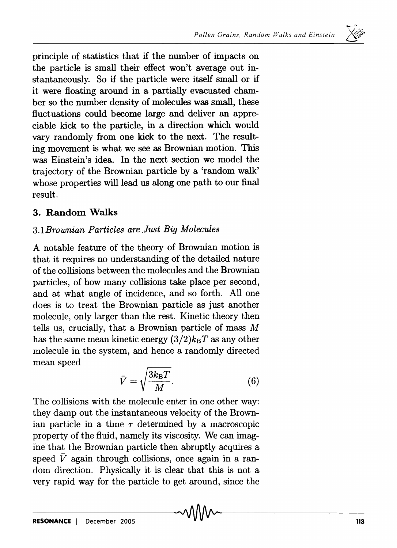$\leftharpoonup$ 

principle of statistics that if the number of impacts on the particle is small their effect won't average out instantaneously. So if the particle were itself small or if it were floating around in a partially evacuated chamber so the number density of molecules was small, these fluctuations could become large and deliver an appreciable kick to the particle, in a direction which would vary randomly from one kick to the next. The resulting movement is what we see as Brownian motion. This was Einstein's idea. In the next section we model the trajectory of the Brownian particle by a 'random walk' whose properties will lead us along one path to our final result.

## 3. Random Walks

## *3.1Brownian Particles are .Just Big Molecules*

A notable feature of the theory of Brownian motion is that it requires no understanding of the detailed nature of the collisions between the molecules and the Brownian particles, of how many collisions take place per second, and at what angle of incidence, and so forth. All one does is to treat the Brownian particle as just another molecule, only larger than the rest. Kinetic theory then tells us, crucially, that a Brownian particle of mass M has the same mean kinetic energy  $(3/2)k_BT$  as any other molecule in the system, and hence a randomly directed mean speed

$$
\bar{V} = \sqrt{\frac{3k_{\rm B}T}{M}}.\tag{6}
$$

The collisions with the molecule enter in one other way: they damp out the instantaneous velocity of the Brownian particle in a time  $\tau$  determined by a macroscopic property of the fluid, namely its viscosity. We can imagine that the Brownian particle then abruptly acquires a speed  $V$  again through collisions, once again in a random direction. Physically it is clear that this is not a very rapid way for the particle to get around, since the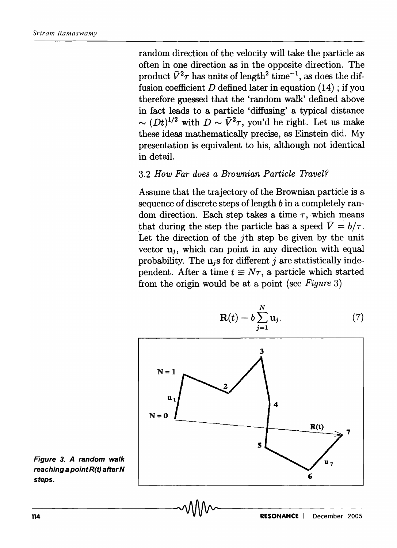random direction of the velocity will take the particle as often in one direction as in the opposite direction. The product  $\bar{V}^2 \tau$  has units of length<sup>2</sup> time<sup>-1</sup>, as does the diffusion coefficient  $D$  defined later in equation (14); if you therefore guessed that the 'random walk' defined above in fact leads to a particle 'diffusing' a typical distance  $\sim (Dt)^{1/2}$  with  $D \sim \bar{V}^2 \tau$ , you'd be right. Let us make these ideas mathematically precise, as Einstein did. My presentation is equivalent to his, although not identical in detail.

## *3.2 How Far does a Brownian Particle Travel?*

Assume that the trajectory of the Brownian particle is a sequence of discrete steps of length  $b$  in a completely random direction. Each step takes a time  $\tau$ , which means that during the step the particle has a speed  $\bar{V} = b/\tau$ . Let the direction of the jth step be given by the unit vector  $\mathbf{u}_i$ , which can point in any direction with equal probability. The  $\mathbf{u}_i$ s for different j are statistically independent. After a time  $t \equiv N\tau$ , a particle which started from the origin would be at a point (see *Figure* 3)



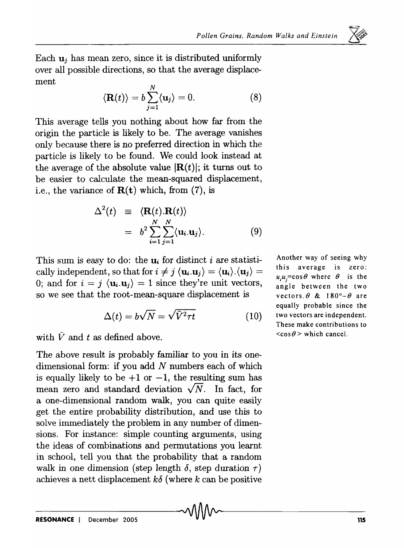

Each  $\mathbf{u}_i$  has mean zero, since it is distributed uniformly over all possible directions, so that the average displacement

$$
\langle \mathbf{R}(t) \rangle = b \sum_{j=1}^{N} \langle \mathbf{u}_j \rangle = 0. \tag{8}
$$

This average tells you nothing about how far from the origin the particle is likely to be. The average vanishes only because there is no preferred direction in which the particle is likely to be found. We could look instead at the average of the absolute value  $|\mathbf{R}(t)|$ ; it turns out to be easier to calculate the mean-squared displacement, i.e., the variance of  $R(t)$  which, from (7), is

$$
\Delta^{2}(t) \equiv \langle \mathbf{R}(t). \mathbf{R}(t) \rangle \n= b^{2} \sum_{i=1}^{N} \sum_{j=1}^{N} \langle \mathbf{u}_{i} . \mathbf{u}_{j} \rangle.
$$
\n(9)

This sum is easy to do: the  $\mathbf{u}_i$  for distinct i are statistically independent, so that for  $i \neq j$   $\langle \mathbf{u}_i, \mathbf{u}_j \rangle = \langle \mathbf{u}_i \rangle \langle \mathbf{u}_j \rangle =$ 0; and for  $i = j \langle \mathbf{u}_i \cdot \mathbf{u}_j \rangle = 1$  since they're unit vectors, so we see that the root-mean-square displacement is

$$
\Delta(t) = b\sqrt{N} = \sqrt{\bar{V}^2 \tau t} \tag{10}
$$

with  $\bar{V}$  and  $t$  as defined above.

The above result is probably familiar to you in its onedimensional form: if you add *N* numbers each of which is equally likely to be  $+1$  or  $-1$ , the resulting sum has mean zero and standard deviation  $\sqrt{N}$ . In fact, for a one-dimensional random walk, you can quite easily get the entire probability distribution, and use this to solve immediately the problem in any number of dimensions. For instance: simple counting arguments, using the ideas of combinations and permutations you learnt in school, tell you that the probability that a random walk in one dimension (step length  $\delta$ , step duration  $\tau$ ) achieves a nett displacement  $k\delta$  (where k can be positive

Another way of seeing why this average is zero:  $u_iu = \cos \theta$  where  $\theta$  is the angle between the two vectors.  $\theta$  & 180°- $\theta$  are equally probable since the two vectors are independent. These make contributions to  $<$ cos $\theta$  > which cancel.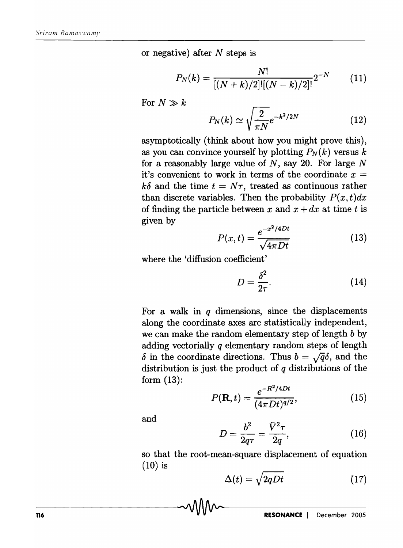or negative) after  $N$  steps is

$$
P_N(k) = \frac{N!}{[(N+k)/2]![(N-k)/2]!} 2^{-N} \tag{11}
$$

For  $N \gg k$ 

$$
P_N(k) \simeq \sqrt{\frac{2}{\pi N}} e^{-k^2/2N} \tag{12}
$$

asymptotically (think about how you might prove this), as you can convince yourself by plotting  $P_N(k)$  versus k for a reasonably large value of  $N$ , say 20. For large  $N$ it's convenient to work in terms of the coordinate  $x =$  $k\delta$  and the time  $t = N\tau$ , treated as continuous rather than discrete variables. Then the probability  $P(x, t)dx$ of finding the particle between x and  $x + dx$  at time t is given by

$$
P(x,t) = \frac{e^{-x^2/4Dt}}{\sqrt{4\pi Dt}}\tag{13}
$$

where the 'diffusion coefficient'

$$
D = \frac{\delta^2}{2\tau}.\tag{14}
$$

For a walk in  $q$  dimensions, since the displacements along the coordinate axes are statistically independent, we can make the random elementary step of length *b* by adding vectorially q elementary random steps of length  $\delta$  in the coordinate directions. Thus  $b = \sqrt{q}\delta$ , and the distribution is just the product of  $q$  distributions of the form (13):

$$
P(\mathbf{R}, t) = \frac{e^{-R^2/4Dt}}{(4\pi Dt)^{q/2}},
$$
\n(15)

and

$$
D = \frac{b^2}{2q\tau} = \frac{\bar{V}^2 \tau}{2q},\tag{16}
$$

so that the root-mean-square displacement of equation  $(10)$  is

$$
\Delta(t) = \sqrt{2qDt} \tag{17}
$$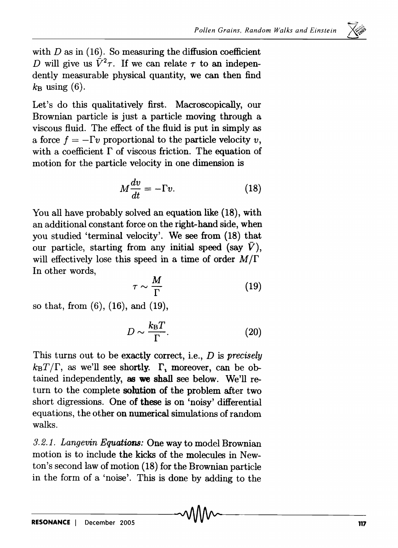with  $D$  as in (16). So measuring the diffusion coefficient *D* will give us  $\tilde{V}^2 \tau$ . If we can relate  $\tau$  to an independently measurable physical quantity, we can then find  $k_B$  using  $(6)$ .

Let's do this qualitatively first. Macroscopically, our Brownian particle is just a particle moving through a viscous fluid. The effect of the fluid is put in simply as a force  $f = -\Gamma v$  proportional to the particle velocity *v*, with a coefficient  $\Gamma$  of viscous friction. The equation of motion for the particle velocity in one dimension is

$$
M\frac{dv}{dt} = -\Gamma v.\tag{18}
$$

You all have probably solved an equation like (18), with an additional constant force on the right-hand side, when you studied 'terminal velocity'. We see from (18) that our particle, starting from any initial speed (say  $\bar{V}$ ), will effectively lose this speed in a time of order  $M/\Gamma$ In other words,

$$
\tau \sim \frac{M}{\Gamma} \tag{19}
$$

so that, from (6), (16), and (19),

$$
D \sim \frac{k_{\rm B}T}{\Gamma}.
$$
 (20)

This turns out to be exactly correct, i.e., *D* is *precisely*   $k_BT/\Gamma$ , as we'll see shortly.  $\Gamma$ , moreover, can be obtained independently, as we shall see below. We'll return to the complete solution of the problem after two short digressions. One of these is on 'noisy' differential equations, the other on numerical simulations of random walks.

*3.2.1. Langevin Equations:* One way to model Brownian motion is to include the kicks of the molecules in Newton's second law of motion (18) for the Brownian particle in the form of a 'noise'. This is done by adding to the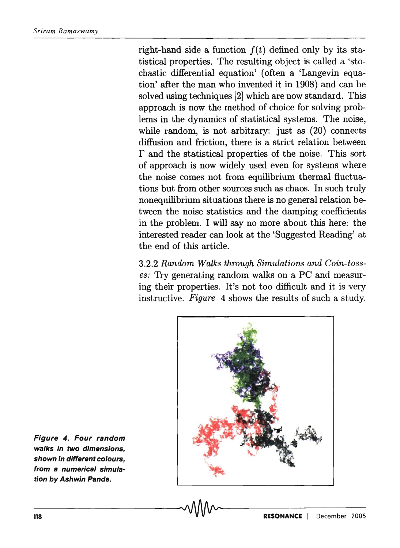right-hand side a function  $f(t)$  defined only by its statistical properties. The resulting object is called a 'stochastic differential equation' (often a 'Langevin equation' after the man who invented it in 1908) and can be solved using techniques [2] which are now standard. This approach is now the method of choice for solving problems in the dynamics of statistical systems. The noise, while random, is not arbitrary: just as  $(20)$  connects diffusion and friction, there is a strict relation between  $\Gamma$  and the statistical properties of the noise. This sort of approach is now widely used even for systems where the noise comes not from equilibrium thermal fluctuations but from other sources such as chaos. In such truly nonequilibrium situations there is no general relation between the noise statistics and the damping coefficients in the problem. I will say no more about this here: the interested reader can look at the 'Suggested Reading' at the end of this article.

*3.2.2 Random Walks through Simulations and Coin-tosses:* Try generating random walks on a PC and measuring their properties. It's not too difficult and it is very instructive. *Figure* 4 shows the results of such a study.



Figure 4. Four random walks in two dimensions, shown in different colours, from a numerical simulation by Ashwin Pande.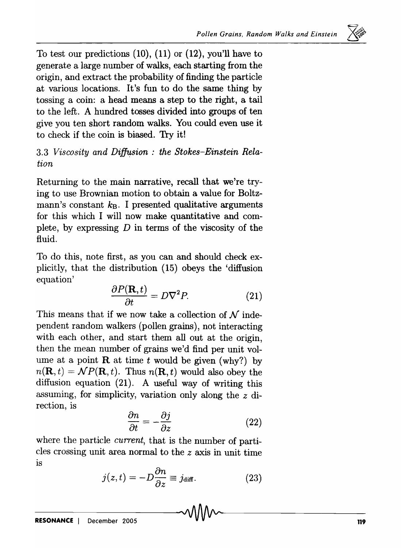$\Rightarrow$  ,

To test our predictions (10), (11) or (12), you'll have to generate a large number of walks, each starting from the origin, and extract the probability of finding the particle at various locations. It's fun to do the same thing by tossing a coin: a head means a step to the right, a tail to the left. A hundred tosses divided into groups of ten give you ten short random walks. You could even use it to check if the coin is biased. Try it!

## 3.3 Viscosity and Diffusion : the Stokes-Einstein Rela*tion*

Returning to the main narrative, recall that we're trying to use Brownian motion to obtain a value for Boltzmann's constant  $k_B$ . I presented qualitative arguments for this which I will now make quantitative and complete, by expressing  $D$  in terms of the viscosity of the fluid.

To do this, note first, as you can and should check explicitly, that the distribution (15) obeys the 'diffusion equation'

$$
\frac{\partial P(\mathbf{R},t)}{\partial t} = D\nabla^2 P.
$$
 (21)

This means that if we now take a collection of  $\mathcal N$  independent random walkers (pollen grains), not interacting with each other, and start them all out at the origin. then the mean number of grains we'd find per unit volume at a point **R** at time t would be given (why?) by  $n(\mathbf{R}, t) = \mathcal{N} P(\mathbf{R}, t)$ . Thus  $n(\mathbf{R}, t)$  would also obey the diffusion equation (21). A useful way of writing this assuming, for simplicity, variation only along the *z* direction, is

$$
\frac{\partial n}{\partial t} = -\frac{\partial j}{\partial z} \tag{22}
$$

where the particle *current,* that is the number of particles crossing unit area normal to the *z* axis in unit time is

$$
j(z,t) = -D\frac{\partial n}{\partial z} \equiv j_{\text{diff}}.\tag{23}
$$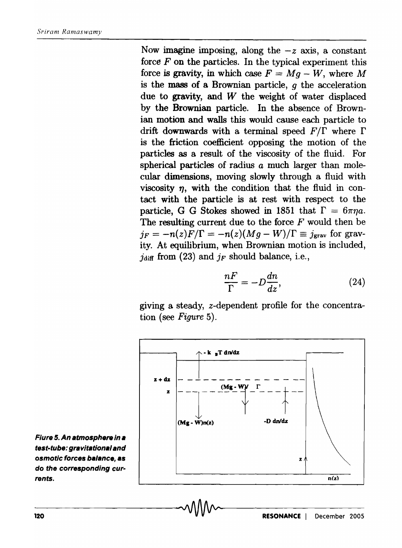Now imagine imposing, along the  $-z$  axis, a constant force *F* on the particles. In the typical experiment this force is gravity, in which case  $F = Mq - W$ , where M is the mass of a Brownian particle,  $q$  the acceleration due to gravity, and *W* the weight of water displaced by the Brownian particle. In the absence of Brownian motion and walls this would cause each particle to drift downwards with a terminal speed  $F/\Gamma$  where  $\Gamma$ is the friction coefficient opposing the motion of the particles as a result of the viscosity of the fluid. For spherical particles of radius *a* much larger than molecular dimensions, moving slowly through a fluid with viscosity  $\eta$ , with the condition that the fluid in contact with the particle is at rest with respect to the particle, G G Stokes showed in 1851 that  $\Gamma = 6\pi\eta a$ . The resulting current due to the force *F* would then be  $j_F = -n(z)F/\Gamma = -n(z)(Mg - W)/\Gamma \equiv j_{\text{grav}}$  for gravity. At equilibrium, when Brownian motion is included,  $j_{\text{diff}}$  from (23) and  $j_F$  should balance, i.e.,

$$
\frac{nF}{\Gamma} = -D\frac{dn}{dz},\tag{24}
$$

giving a steady, z-dependent profile for the concentration (see *Figure 5).* 



Fiure 5. An atmosphere in a test-tube: gravitational and osmotic forces balance, as do the corresponding currents.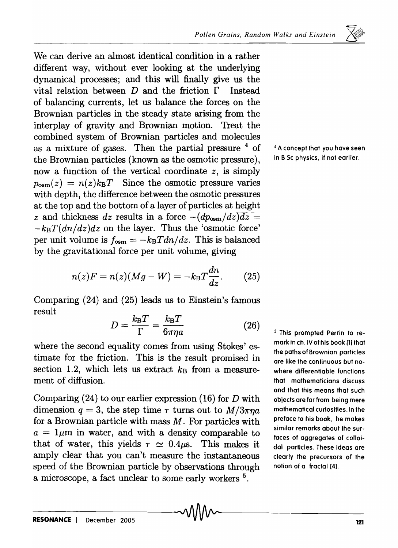We can derive an almost identical condition in a rather different way, without ever looking at the underlying dynamical processes; and this will finally give us the vital relation between  $D$  and the friction  $\Gamma$  Instead of balancing currents, let us balance the forces on the Brownian particles in the steady state arising from the interplay of gravity and Brownian motion. Treat the combined system of Brownian particles and molecules as a mixture of gases. Then the partial pressure 4 of the Brownian particles (known as the osmotic pressure), now a function of the vertical coordinate *z,* is simply  $p_{\text{osm}}(z) = n(z)k_BT$  Since the osmotic pressure varies with depth, the difference between the osmotic pressures at the top and the bottom of a layer of particles at height *z* and thickness *dz* results in a force  $-(dp_{\text{osm}}/dz)\overline{dz}$  $-k_BT(dn/dz)dz$  on the layer. Thus the 'osmotic force' per unit volume is  $f_{\text{osm}} = -k_B T d n/dz$ . This is balanced by the gravitational force per unit volume, giving

$$
n(z)F = n(z)(Mg - W) = -k_{\rm B}T\frac{dn}{dz}.
$$
 (25)

Comparing (24) and (25) leads us to Einstein's famous result

$$
D = \frac{k_{\rm B}T}{\Gamma} = \frac{k_{\rm B}T}{6\pi\eta a} \tag{26}
$$

where the second equality comes from using Stokes' estimate for the friction. This is the result promised in section 1.2, which lets us extract  $k_B$  from a measurement of diffusion.

Comparing  $(24)$  to our earlier expression  $(16)$  for D with dimension  $q = 3$ , the step time  $\tau$  turns out to  $M/3\pi\eta a$ for a Brownian particle with mass  $M$ . For particles with  $a = 1 \mu m$  in water, and with a density comparable to that of water, this yields  $\tau \simeq 0.4 \mu s$ . This makes it amply clear that you can't measure the instantaneous speed of the Brownian particle by observations through a microscope, a fact unclear to some early workers 5.

S This prompted Perrin to remark in ch.IVof his book [l] that the paths of Brownian particles are like the continuous but nowhere differentiable functions that mathematicians discuss and that this means that such objects are far from being mere mathematical curiosities. In the preface to his book, he makes similar remarks about the surfaces of aggregates of colloidal particles. These ideas are clearly the precursors of the notion of a fractal (4].

<sup>4</sup>A concept that you have seen in B Sc physics, if not earlier.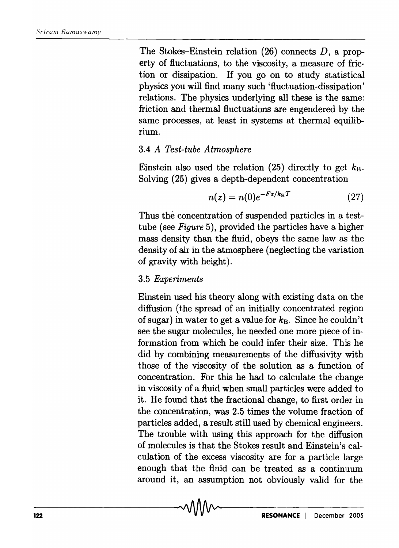The Stokes-Einstein relation  $(26)$  connects D, a property of fluctuations, to the viscosity, a measure of friction or dissipation. If you go on to study statistical physics you will find many such 'fluctuation-dissipation' relations. The physics underlying all these is the same: friction and thermal fluctuations are engendered by the same processes, at least in systems at thermal equilibrium.

#### *3.4 A Test-tube Atmosphere*

Einstein also used the relation (25) directly to get  $k_{\text{B}}$ . Solving (25) gives a depth-dependent concentration

$$
n(z) = n(0)e^{-Fz/k_\mathrm{B}T}
$$
 (27)

Thus the concentration of suspended particles in a testtube (see *Figure* 5), provided the particles have a higher mass density than the fluid, obeys the same law as the density of air in the atmosphere (neglecting the variation of gravity with height).

#### *3.5 Experiments*

Einstein used his theory along with existing data on the diffusion (the spread of an initially concentrated region of sugar) in water to get a value for  $k_B$ . Since he couldn't see the sugar molecules, he needed one more piece of information from which he could infer their size. This he did by combining measurements of the diffusivity with those of the viscosity of the solution as a function of concentration. For this he had to calculate the change in viscosity of a fluid when small particles were added to it. He found that the fractional change, to first order in the concentration, was 2.5 times the volume fraction of particles added, a result still used by chemical engineers. The trouble with using this approach for the diffusion of molecules is that the Stokes result and Einstein's calculation of the excess viscosity are for a particle large enough that the fluid can be treated as a continuum around it, an assumption not obviously valid for the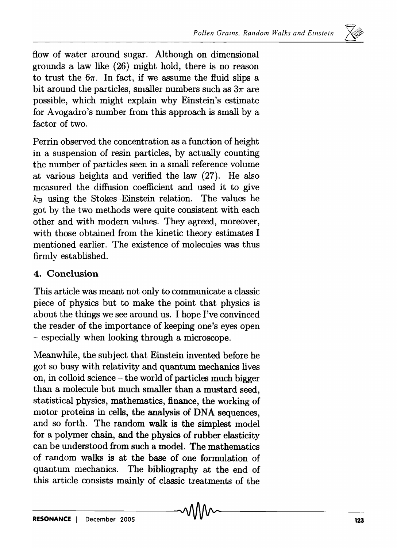

flow of water around sugar. Although on dimensional grounds a law like (26) might hold, there is no reason to trust the  $6\pi$ . In fact, if we assume the fluid slips a bit around the particles, smaller numbers such as  $3\pi$  are possible, which might explain why Einstein's estimate for Avogadro's number from this approach is small by a factor of two.

Perrin observed the concentration as a function of height in a suspension of resin particles, by actually counting the number of particles seen in a small reference volume at various heights and verified the law (27). He also measured the diffusion coefficient and used it to give  $k_B$  using the Stokes-Einstein relation. The values he got by the two methods were quite consistent with each other and with modern values. They agreed, moreover, with those obtained from the kinetic theory estimates I mentioned earlier. The existence of molecules was thus firmly established.

# 4. Conclusion

This article was meant not only to communicate a classic piece of physics but to make the point that physics is about the things we see around us. I hope I've convinced the reader of the importance of keeping one's eyes open - especially when looking through a microscope.

Meanwhile, the subject that Einstein invented before he got so busy with relativity and quantum mechanics lives on, in colloid science - the world of particles much bigger than a molecule but much smaller than a mustard seed, statistical physics, mathematics, finance, the working of motor proteins in cells, the analysis of DNA sequences, and so forth. The random walk is the simplest model for a polymer chain, and the physics of rubber elasticity can be understood from such a model. The mathematics of random walks is at the base of one formulation of quantum mechanics. The bibliography at the end of this article consists mainly of classic treatments of the